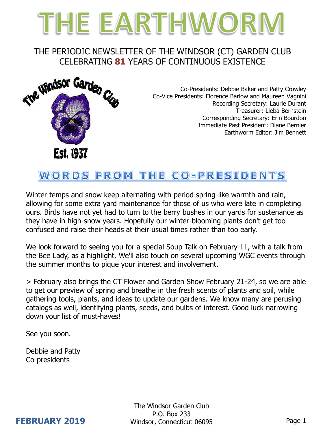# THE EARTHWORM

## THE PERIODIC NEWSLETTER OF THE WINDSOR (CT) GARDEN CLUB CELEBRATING **81** YEARS OF CONTINUOUS EXISTENCE



Co-Presidents: Debbie Baker and Patty Crowley Co-Vice Presidents: Florence Barlow and Maureen Vagnini Recording Secretary: Laurie Durant Treasurer: Lieba Bernstein Corresponding Secretary: Erin Bourdon Immediate Past President: Diane Bernier Earthworm Editor: Jim Bennett

## WORDS FROM THE CO-PRESIDENTS

Winter temps and snow keep alternating with period spring-like warmth and rain, allowing for some extra yard maintenance for those of us who were late in completing ours. Birds have not yet had to turn to the berry bushes in our yards for sustenance as they have in high-snow years. Hopefully our winter-blooming plants don't get too confused and raise their heads at their usual times rather than too early.

We look forward to seeing you for a special Soup Talk on February 11, with a talk from the Bee Lady, as a highlight. We'll also touch on several upcoming WGC events through the summer months to pique your interest and involvement.

> February also brings the CT Flower and Garden Show February 21-24, so we are able to get our preview of spring and breathe in the fresh scents of plants and soil, while gathering tools, plants, and ideas to update our gardens. We know many are perusing catalogs as well, identifying plants, seeds, and bulbs of interest. Good luck narrowing down your list of must-haves!

See you soon.

Debbie and Patty Co-presidents

> The Windsor Garden Club P.O. Box 233 Windsor, Connecticut 06095 Page 1

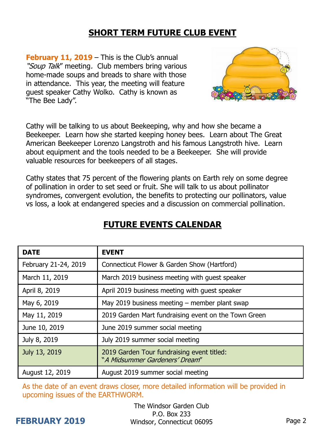## **SHORT TERM FUTURE CLUB EVENT**

**February 11, 2019** – This is the Club's annual "Soup Talk" meeting. Club members bring various home-made soups and breads to share with those in attendance. This year, the meeting will feature guest speaker Cathy Wolko. Cathy is known as "The Bee Lady".



Cathy will be talking to us about Beekeeping, why and how she became a Beekeeper. Learn how she started keeping honey bees. Learn about The Great American Beekeeper Lorenzo Langstroth and his famous Langstroth hive. Learn about equipment and the tools needed to be a Beekeeper. She will provide valuable resources for beekeepers of all stages.

Cathy states that 75 percent of the flowering plants on Earth rely on some degree of pollination in order to set seed or fruit. She will talk to us about pollinator syndromes, convergent evolution, the benefits to protecting our pollinators, value vs loss, a look at endangered species and a discussion on commercial pollination.

| <b>DATE</b>          | <b>EVENT</b>                                                                 |
|----------------------|------------------------------------------------------------------------------|
| February 21-24, 2019 | Connecticut Flower & Garden Show (Hartford)                                  |
| March 11, 2019       | March 2019 business meeting with quest speaker                               |
| April 8, 2019        | April 2019 business meeting with guest speaker                               |
| May 6, 2019          | May 2019 business meeting - member plant swap                                |
| May 11, 2019         | 2019 Garden Mart fundraising event on the Town Green                         |
| June 10, 2019        | June 2019 summer social meeting                                              |
| July 8, 2019         | July 2019 summer social meeting                                              |
| July 13, 2019        | 2019 Garden Tour fundraising event titled:<br>"A Midsummer Gardeners' Dream" |
| August 12, 2019      | August 2019 summer social meeting                                            |

## **FUTURE EVENTS CALENDAR**

As the date of an event draws closer, more detailed information will be provided in upcoming issues of the EARTHWORM.

## **FEBRUARY 2019**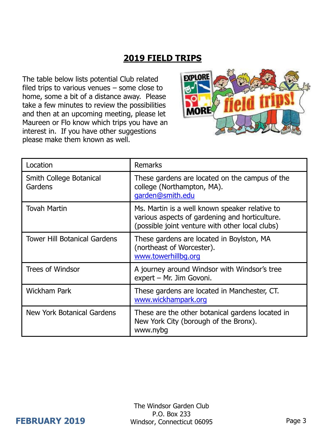## **2019 FIELD TRIPS**

The table below lists potential Club related filed trips to various venues – some close to home, some a bit of a distance away. Please take a few minutes to review the possibilities and then at an upcoming meeting, please let Maureen or Flo know which trips you have an interest in. If you have other suggestions please make them known as well.



| Location                            | <b>Remarks</b>                                                                                                                                      |
|-------------------------------------|-----------------------------------------------------------------------------------------------------------------------------------------------------|
| Smith College Botanical<br>Gardens  | These gardens are located on the campus of the<br>college (Northampton, MA).<br>garden@smith.edu                                                    |
| <b>Tovah Martin</b>                 | Ms. Martin is a well known speaker relative to<br>various aspects of gardening and horticulture.<br>(possible joint venture with other local clubs) |
| <b>Tower Hill Botanical Gardens</b> | These gardens are located in Boylston, MA<br>(northeast of Worcester).<br>www.towerhillbg.org                                                       |
| <b>Trees of Windsor</b>             | A journey around Windsor with Windsor's tree<br>expert - Mr. Jim Govoni.                                                                            |
| <b>Wickham Park</b>                 | These gardens are located in Manchester, CT.<br>www.wickhampark.org                                                                                 |
| <b>New York Botanical Gardens</b>   | These are the other botanical gardens located in<br>New York City (borough of the Bronx).<br>www.nybg                                               |

#### **FEBRUARY 2019**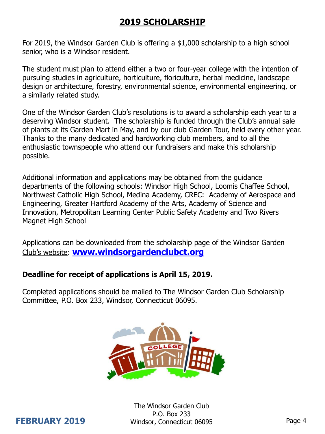## **2019 SCHOLARSHIP**

For 2019, the Windsor Garden Club is offering a \$1,000 scholarship to a high school senior, who is a Windsor resident.

The student must plan to attend either a two or four-year college with the intention of pursuing studies in agriculture, horticulture, floriculture, herbal medicine, landscape design or architecture, forestry, environmental science, environmental engineering, or a similarly related study.

One of the Windsor Garden Club's resolutions is to award a scholarship each year to a deserving Windsor student. The scholarship is funded through the Club's annual sale of plants at its Garden Mart in May, and by our club Garden Tour, held every other year. Thanks to the many dedicated and hardworking club members, and to all the enthusiastic townspeople who attend our fundraisers and make this scholarship possible.

Additional information and applications may be obtained from the guidance departments of the following schools: Windsor High School, Loomis Chaffee School, Northwest Catholic High School, Medina Academy, CREC: Academy of Aerospace and Engineering, Greater Hartford Academy of the Arts, Academy of Science and Innovation, Metropolitan Learning Center Public Safety Academy and Two Rivers Magnet High School

Applications can be downloaded from the scholarship page of the Windsor Garden Club's website: **[www.windsorgardenclubct.org](http://www.windsorgardenclubct.org/)**

#### **Deadline for receipt of applications is April 15, 2019.**

Completed applications should be mailed to The Windsor Garden Club Scholarship Committee, P.O. Box 233, Windsor, Connecticut 06095.



The Windsor Garden Club P.O. Box 233 Windsor, Connecticut 06095